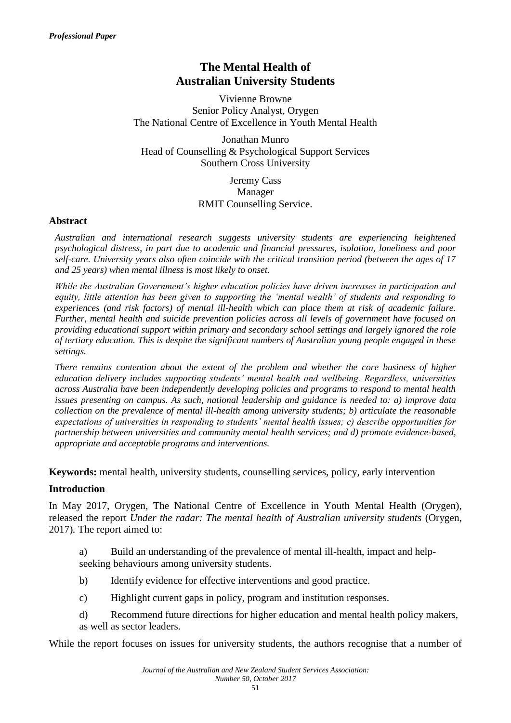# **The Mental Health of Australian University Students**

Vivienne Browne Senior Policy Analyst, Orygen The National Centre of Excellence in Youth Mental Health

Jonathan Munro Head of Counselling & Psychological Support Services Southern Cross University

> Jeremy Cass Manager RMIT Counselling Service.

## **Abstract**

*Australian and international research suggests university students are experiencing heightened psychological distress, in part due to academic and financial pressures, isolation, loneliness and poor self-care. University years also often coincide with the critical transition period (between the ages of 17 and 25 years) when mental illness is most likely to onset.*

*While the Australian Government's higher education policies have driven increases in participation and equity, little attention has been given to supporting the 'mental wealth' of students and responding to experiences (and risk factors) of mental ill-health which can place them at risk of academic failure. Further, mental health and suicide prevention policies across all levels of government have focused on providing educational support within primary and secondary school settings and largely ignored the role of tertiary education. This is despite the significant numbers of Australian young people engaged in these settings.*

*There remains contention about the extent of the problem and whether the core business of higher education delivery includes supporting students' mental health and wellbeing. Regardless, universities across Australia have been independently developing policies and programs to respond to mental health issues presenting on campus. As such, national leadership and guidance is needed to: a) improve data collection on the prevalence of mental ill-health among university students; b) articulate the reasonable expectations of universities in responding to students' mental health issues; c) describe opportunities for partnership between universities and community mental health services; and d) promote evidence-based, appropriate and acceptable programs and interventions.*

**Keywords:** mental health, university students, counselling services, policy, early intervention

#### **Introduction**

In May 2017, Orygen, The National Centre of Excellence in Youth Mental Health (Orygen), released the report *Under the radar: The mental health of Australian university students* (Orygen, 2017)*.* The report aimed to:

a) Build an understanding of the prevalence of mental ill-health, impact and helpseeking behaviours among university students.

- b) Identify evidence for effective interventions and good practice.
- c) Highlight current gaps in policy, program and institution responses.
- d) Recommend future directions for higher education and mental health policy makers, as well as sector leaders.

While the report focuses on issues for university students, the authors recognise that a number of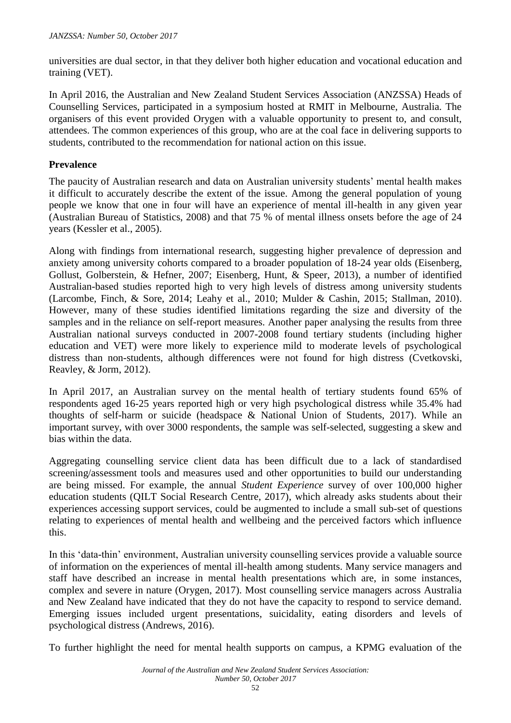universities are dual sector, in that they deliver both higher education and vocational education and training (VET).

In April 2016, the Australian and New Zealand Student Services Association (ANZSSA) Heads of Counselling Services, participated in a symposium hosted at RMIT in Melbourne, Australia. The organisers of this event provided Orygen with a valuable opportunity to present to, and consult, attendees. The common experiences of this group, who are at the coal face in delivering supports to students, contributed to the recommendation for national action on this issue.

### **Prevalence**

The paucity of Australian research and data on Australian university students' mental health makes it difficult to accurately describe the extent of the issue. Among the general population of young people we know that one in four will have an experience of mental ill-health in any given year (Australian Bureau of Statistics, 2008) and that 75 % of mental illness onsets before the age of 24 years (Kessler et al., 2005).

Along with findings from international research, suggesting higher prevalence of depression and anxiety among university cohorts compared to a broader population of 18-24 year olds (Eisenberg, Gollust, Golberstein, & Hefner, 2007; Eisenberg, Hunt, & Speer, 2013), a number of identified Australian-based studies reported high to very high levels of distress among university students (Larcombe, Finch, & Sore, 2014; Leahy et al., 2010; Mulder & Cashin, 2015; Stallman, 2010). However, many of these studies identified limitations regarding the size and diversity of the samples and in the reliance on self-report measures. Another paper analysing the results from three Australian national surveys conducted in 2007-2008 found tertiary students (including higher education and VET) were more likely to experience mild to moderate levels of psychological distress than non-students, although differences were not found for high distress (Cvetkovski, Reavley, & Jorm, 2012).

In April 2017, an Australian survey on the mental health of tertiary students found 65% of respondents aged 16-25 years reported high or very high psychological distress while 35.4% had thoughts of self-harm or suicide (headspace & National Union of Students, 2017). While an important survey, with over 3000 respondents, the sample was self-selected, suggesting a skew and bias within the data.

Aggregating counselling service client data has been difficult due to a lack of standardised screening/assessment tools and measures used and other opportunities to build our understanding are being missed. For example, the annual *Student Experience* survey of over 100,000 higher education students (QILT Social Research Centre, 2017), which already asks students about their experiences accessing support services, could be augmented to include a small sub-set of questions relating to experiences of mental health and wellbeing and the perceived factors which influence this.

In this 'data-thin' environment, Australian university counselling services provide a valuable source of information on the experiences of mental ill-health among students. Many service managers and staff have described an increase in mental health presentations which are, in some instances, complex and severe in nature (Orygen, 2017). Most counselling service managers across Australia and New Zealand have indicated that they do not have the capacity to respond to service demand. Emerging issues included urgent presentations, suicidality, eating disorders and levels of psychological distress (Andrews, 2016).

To further highlight the need for mental health supports on campus, a KPMG evaluation of the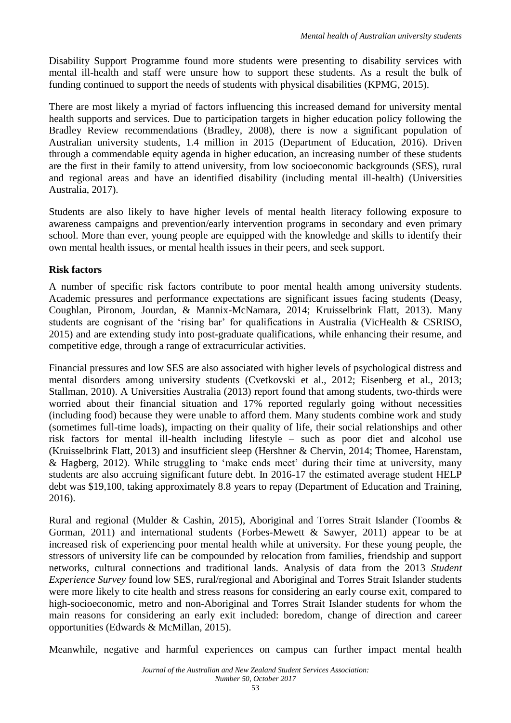Disability Support Programme found more students were presenting to disability services with mental ill-health and staff were unsure how to support these students. As a result the bulk of funding continued to support the needs of students with physical disabilities (KPMG, 2015).

There are most likely a myriad of factors influencing this increased demand for university mental health supports and services. Due to participation targets in higher education policy following the Bradley Review recommendations (Bradley, 2008), there is now a significant population of Australian university students, 1.4 million in 2015 (Department of Education, 2016). Driven through a commendable equity agenda in higher education, an increasing number of these students are the first in their family to attend university, from low socioeconomic backgrounds (SES), rural and regional areas and have an identified disability (including mental ill-health) (Universities Australia, 2017).

Students are also likely to have higher levels of mental health literacy following exposure to awareness campaigns and prevention/early intervention programs in secondary and even primary school. More than ever, young people are equipped with the knowledge and skills to identify their own mental health issues, or mental health issues in their peers, and seek support.

## **Risk factors**

A number of specific risk factors contribute to poor mental health among university students. Academic pressures and performance expectations are significant issues facing students (Deasy, Coughlan, Pironom, Jourdan, & Mannix-McNamara, 2014; Kruisselbrink Flatt, 2013). Many students are cognisant of the 'rising bar' for qualifications in Australia (VicHealth & CSRISO, 2015) and are extending study into post-graduate qualifications, while enhancing their resume, and competitive edge, through a range of extracurricular activities.

Financial pressures and low SES are also associated with higher levels of psychological distress and mental disorders among university students (Cvetkovski et al., 2012; Eisenberg et al., 2013; Stallman, 2010). A Universities Australia (2013) report found that among students, two-thirds were worried about their financial situation and 17% reported regularly going without necessities (including food) because they were unable to afford them. Many students combine work and study (sometimes full-time loads), impacting on their quality of life, their social relationships and other risk factors for mental ill-health including lifestyle – such as poor diet and alcohol use (Kruisselbrink Flatt, 2013) and insufficient sleep (Hershner & Chervin, 2014; Thomee, Harenstam, & Hagberg, 2012). While struggling to 'make ends meet' during their time at university, many students are also accruing significant future debt. In 2016-17 the estimated average student HELP debt was \$19,100, taking approximately 8.8 years to repay (Department of Education and Training, 2016).

Rural and regional (Mulder & Cashin, 2015), Aboriginal and Torres Strait Islander (Toombs & Gorman, 2011) and international students (Forbes-Mewett & Sawyer, 2011) appear to be at increased risk of experiencing poor mental health while at university. For these young people, the stressors of university life can be compounded by relocation from families, friendship and support networks, cultural connections and traditional lands. Analysis of data from the 2013 *Student Experience Survey* found low SES, rural/regional and Aboriginal and Torres Strait Islander students were more likely to cite health and stress reasons for considering an early course exit, compared to high-socioeconomic, metro and non-Aboriginal and Torres Strait Islander students for whom the main reasons for considering an early exit included: boredom, change of direction and career opportunities (Edwards & McMillan, 2015).

Meanwhile, negative and harmful experiences on campus can further impact mental health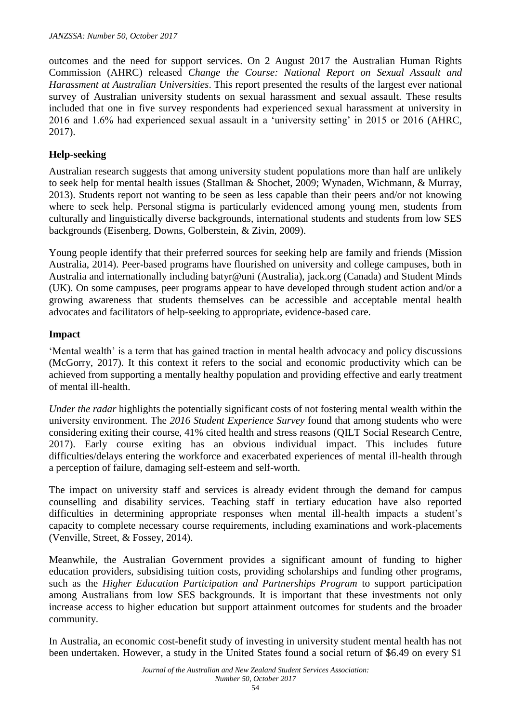outcomes and the need for support services. On 2 August 2017 the Australian Human Rights Commission (AHRC) released *Change the Course: National Report on Sexual Assault and Harassment at Australian Universities*. This report presented the results of the largest ever national survey of Australian university students on sexual harassment and sexual assault. These results included that one in five survey respondents had experienced sexual harassment at university in 2016 and 1.6% had experienced sexual assault in a 'university setting' in 2015 or 2016 (AHRC, 2017).

## **Help-seeking**

Australian research suggests that among university student populations more than half are unlikely to seek help for mental health issues (Stallman & Shochet, 2009; Wynaden, Wichmann, & Murray, 2013). Students report not wanting to be seen as less capable than their peers and/or not knowing where to seek help. Personal stigma is particularly evidenced among young men, students from culturally and linguistically diverse backgrounds, international students and students from low SES backgrounds (Eisenberg, Downs, Golberstein, & Zivin, 2009).

Young people identify that their preferred sources for seeking help are family and friends (Mission Australia, 2014). Peer-based programs have flourished on university and college campuses, both in Australia and internationally including batyr@uni (Australia), jack.org (Canada) and Student Minds (UK). On some campuses, peer programs appear to have developed through student action and/or a growing awareness that students themselves can be accessible and acceptable mental health advocates and facilitators of help-seeking to appropriate, evidence-based care.

#### **Impact**

'Mental wealth' is a term that has gained traction in mental health advocacy and policy discussions (McGorry, 2017). It this context it refers to the social and economic productivity which can be achieved from supporting a mentally healthy population and providing effective and early treatment of mental ill-health.

*Under the radar* highlights the potentially significant costs of not fostering mental wealth within the university environment. The *2016 Student Experience Survey* found that among students who were considering exiting their course, 41% cited health and stress reasons (QILT Social Research Centre, 2017). Early course exiting has an obvious individual impact. This includes future difficulties/delays entering the workforce and exacerbated experiences of mental ill-health through a perception of failure, damaging self-esteem and self-worth.

The impact on university staff and services is already evident through the demand for campus counselling and disability services. Teaching staff in tertiary education have also reported difficulties in determining appropriate responses when mental ill-health impacts a student's capacity to complete necessary course requirements, including examinations and work-placements (Venville, Street, & Fossey, 2014).

Meanwhile, the Australian Government provides a significant amount of funding to higher education providers, subsidising tuition costs, providing scholarships and funding other programs, such as the *Higher Education Participation and Partnerships Program* to support participation among Australians from low SES backgrounds. It is important that these investments not only increase access to higher education but support attainment outcomes for students and the broader community.

In Australia, an economic cost-benefit study of investing in university student mental health has not been undertaken. However, a study in the United States found a social return of \$6.49 on every \$1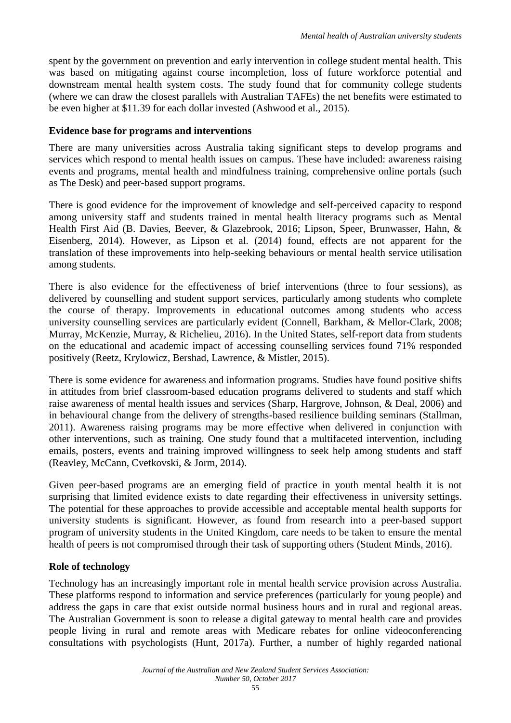spent by the government on prevention and early intervention in college student mental health. This was based on mitigating against course incompletion, loss of future workforce potential and downstream mental health system costs. The study found that for community college students (where we can draw the closest parallels with Australian TAFEs) the net benefits were estimated to be even higher at \$11.39 for each dollar invested (Ashwood et al., 2015).

#### **Evidence base for programs and interventions**

There are many universities across Australia taking significant steps to develop programs and services which respond to mental health issues on campus. These have included: awareness raising events and programs, mental health and mindfulness training, comprehensive online portals (such as The Desk) and peer-based support programs.

There is good evidence for the improvement of knowledge and self-perceived capacity to respond among university staff and students trained in mental health literacy programs such as Mental Health First Aid (B. Davies, Beever, & Glazebrook, 2016; Lipson, Speer, Brunwasser, Hahn, & Eisenberg, 2014). However, as Lipson et al. (2014) found, effects are not apparent for the translation of these improvements into help-seeking behaviours or mental health service utilisation among students.

There is also evidence for the effectiveness of brief interventions (three to four sessions), as delivered by counselling and student support services, particularly among students who complete the course of therapy. Improvements in educational outcomes among students who access university counselling services are particularly evident (Connell, Barkham, & Mellor-Clark, 2008; Murray, McKenzie, Murray, & Richelieu, 2016). In the United States, self-report data from students on the educational and academic impact of accessing counselling services found 71% responded positively (Reetz, Krylowicz, Bershad, Lawrence, & Mistler, 2015).

There is some evidence for awareness and information programs. Studies have found positive shifts in attitudes from brief classroom-based education programs delivered to students and staff which raise awareness of mental health issues and services (Sharp, Hargrove, Johnson, & Deal, 2006) and in behavioural change from the delivery of strengths-based resilience building seminars (Stallman, 2011). Awareness raising programs may be more effective when delivered in conjunction with other interventions, such as training. One study found that a multifaceted intervention, including emails, posters, events and training improved willingness to seek help among students and staff (Reavley, McCann, Cvetkovski, & Jorm, 2014).

Given peer-based programs are an emerging field of practice in youth mental health it is not surprising that limited evidence exists to date regarding their effectiveness in university settings. The potential for these approaches to provide accessible and acceptable mental health supports for university students is significant. However, as found from research into a peer-based support program of university students in the United Kingdom, care needs to be taken to ensure the mental health of peers is not compromised through their task of supporting others (Student Minds, 2016).

#### **Role of technology**

Technology has an increasingly important role in mental health service provision across Australia. These platforms respond to information and service preferences (particularly for young people) and address the gaps in care that exist outside normal business hours and in rural and regional areas. The Australian Government is soon to release a digital gateway to mental health care and provides people living in rural and remote areas with Medicare rebates for online videoconferencing consultations with psychologists (Hunt, 2017a). Further, a number of highly regarded national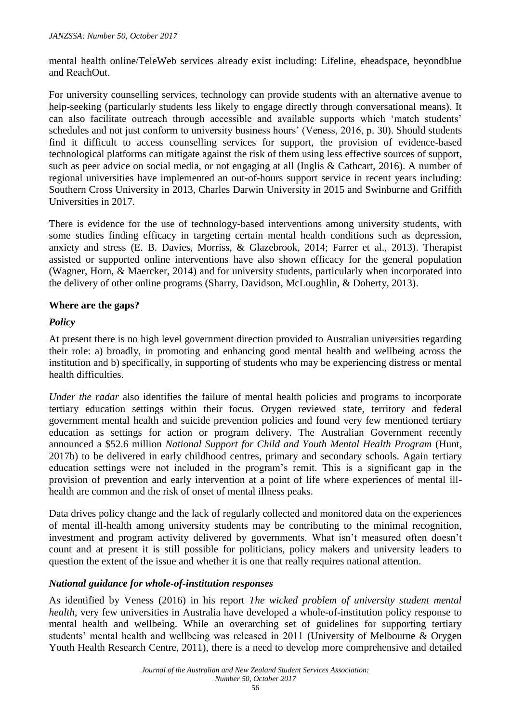mental health online/TeleWeb services already exist including: Lifeline, eheadspace, beyondblue and ReachOut.

For university counselling services, technology can provide students with an alternative avenue to help-seeking (particularly students less likely to engage directly through conversational means). It can also facilitate outreach through accessible and available supports which 'match students' schedules and not just conform to university business hours' (Veness, 2016, p. 30). Should students find it difficult to access counselling services for support, the provision of evidence-based technological platforms can mitigate against the risk of them using less effective sources of support, such as peer advice on social media, or not engaging at all (Inglis & Cathcart, 2016). A number of regional universities have implemented an out-of-hours support service in recent years including: Southern Cross University in 2013, Charles Darwin University in 2015 and Swinburne and Griffith Universities in 2017.

There is evidence for the use of technology-based interventions among university students, with some studies finding efficacy in targeting certain mental health conditions such as depression, anxiety and stress (E. B. Davies, Morriss, & Glazebrook, 2014; Farrer et al., 2013). Therapist assisted or supported online interventions have also shown efficacy for the general population (Wagner, Horn, & Maercker, 2014) and for university students, particularly when incorporated into the delivery of other online programs (Sharry, Davidson, McLoughlin, & Doherty, 2013).

#### **Where are the gaps?**

### *Policy*

At present there is no high level government direction provided to Australian universities regarding their role: a) broadly, in promoting and enhancing good mental health and wellbeing across the institution and b) specifically, in supporting of students who may be experiencing distress or mental health difficulties.

*Under the radar* also identifies the failure of mental health policies and programs to incorporate tertiary education settings within their focus. Orygen reviewed state, territory and federal government mental health and suicide prevention policies and found very few mentioned tertiary education as settings for action or program delivery. The Australian Government recently announced a \$52.6 million *National Support for Child and Youth Mental Health Program* (Hunt, 2017b) to be delivered in early childhood centres, primary and secondary schools. Again tertiary education settings were not included in the program's remit. This is a significant gap in the provision of prevention and early intervention at a point of life where experiences of mental illhealth are common and the risk of onset of mental illness peaks.

Data drives policy change and the lack of regularly collected and monitored data on the experiences of mental ill-health among university students may be contributing to the minimal recognition, investment and program activity delivered by governments. What isn't measured often doesn't count and at present it is still possible for politicians, policy makers and university leaders to question the extent of the issue and whether it is one that really requires national attention.

#### *National guidance for whole-of-institution responses*

As identified by Veness (2016) in his report *The wicked problem of university student mental health*, very few universities in Australia have developed a whole-of-institution policy response to mental health and wellbeing. While an overarching set of guidelines for supporting tertiary students' mental health and wellbeing was released in 2011 (University of Melbourne & Orygen Youth Health Research Centre, 2011), there is a need to develop more comprehensive and detailed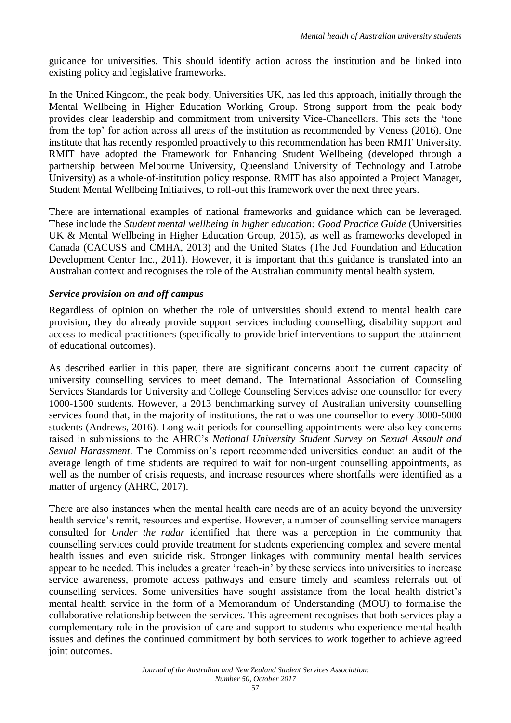guidance for universities. This should identify action across the institution and be linked into existing policy and legislative frameworks.

In the United Kingdom, the peak body, Universities UK, has led this approach, initially through the Mental Wellbeing in Higher Education Working Group. Strong support from the peak body provides clear leadership and commitment from university Vice-Chancellors. This sets the 'tone from the top' for action across all areas of the institution as recommended by Veness (2016). One institute that has recently responded proactively to this recommendation has been RMIT University. RMIT have adopted the [Framework for Enhancing Student Wellbeing](http://unistudentwellbeing.edu.au/framework/) (developed through a partnership between Melbourne University, Queensland University of Technology and Latrobe University) as a whole-of-institution policy response. RMIT has also appointed a Project Manager, Student Mental Wellbeing Initiatives, to roll-out this framework over the next three years.

There are international examples of national frameworks and guidance which can be leveraged. These include the *Student mental wellbeing in higher education: Good Practice Guide* (Universities UK & Mental Wellbeing in Higher Education Group, 2015), as well as frameworks developed in Canada (CACUSS and CMHA, 2013) and the United States (The Jed Foundation and Education Development Center Inc., 2011). However, it is important that this guidance is translated into an Australian context and recognises the role of the Australian community mental health system.

### *Service provision on and off campus*

Regardless of opinion on whether the role of universities should extend to mental health care provision, they do already provide support services including counselling, disability support and access to medical practitioners (specifically to provide brief interventions to support the attainment of educational outcomes).

As described earlier in this paper, there are significant concerns about the current capacity of university counselling services to meet demand. The International Association of Counseling Services Standards for University and College Counseling Services advise one counsellor for every 1000-1500 students. However, a 2013 benchmarking survey of Australian university counselling services found that, in the majority of institutions, the ratio was one counsellor to every 3000-5000 students (Andrews, 2016). Long wait periods for counselling appointments were also key concerns raised in submissions to the AHRC's *National University Student Survey on Sexual Assault and Sexual Harassment*. The Commission's report recommended universities conduct an audit of the average length of time students are required to wait for non-urgent counselling appointments, as well as the number of crisis requests, and increase resources where shortfalls were identified as a matter of urgency (AHRC, 2017).

There are also instances when the mental health care needs are of an acuity beyond the university health service's remit, resources and expertise. However, a number of counselling service managers consulted for *Under the radar* identified that there was a perception in the community that counselling services could provide treatment for students experiencing complex and severe mental health issues and even suicide risk. Stronger linkages with community mental health services appear to be needed. This includes a greater 'reach-in' by these services into universities to increase service awareness, promote access pathways and ensure timely and seamless referrals out of counselling services. Some universities have sought assistance from the local health district's mental health service in the form of a Memorandum of Understanding (MOU) to formalise the collaborative relationship between the services. This agreement recognises that both services play a complementary role in the provision of care and support to students who experience mental health issues and defines the continued commitment by both services to work together to achieve agreed joint outcomes.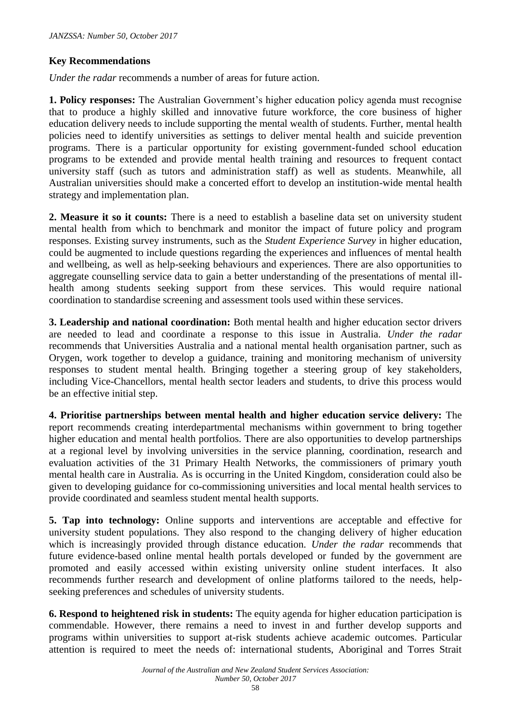### **Key Recommendations**

*Under the radar* recommends a number of areas for future action.

**1. Policy responses:** The Australian Government's higher education policy agenda must recognise that to produce a highly skilled and innovative future workforce, the core business of higher education delivery needs to include supporting the mental wealth of students. Further, mental health policies need to identify universities as settings to deliver mental health and suicide prevention programs. There is a particular opportunity for existing government-funded school education programs to be extended and provide mental health training and resources to frequent contact university staff (such as tutors and administration staff) as well as students. Meanwhile, all Australian universities should make a concerted effort to develop an institution-wide mental health strategy and implementation plan.

**2. Measure it so it counts:** There is a need to establish a baseline data set on university student mental health from which to benchmark and monitor the impact of future policy and program responses. Existing survey instruments, such as the *Student Experience Survey* in higher education, could be augmented to include questions regarding the experiences and influences of mental health and wellbeing, as well as help-seeking behaviours and experiences. There are also opportunities to aggregate counselling service data to gain a better understanding of the presentations of mental illhealth among students seeking support from these services. This would require national coordination to standardise screening and assessment tools used within these services.

**3. Leadership and national coordination:** Both mental health and higher education sector drivers are needed to lead and coordinate a response to this issue in Australia. *Under the radar* recommends that Universities Australia and a national mental health organisation partner, such as Orygen, work together to develop a guidance, training and monitoring mechanism of university responses to student mental health. Bringing together a steering group of key stakeholders, including Vice-Chancellors, mental health sector leaders and students, to drive this process would be an effective initial step.

**4. Prioritise partnerships between mental health and higher education service delivery:** The report recommends creating interdepartmental mechanisms within government to bring together higher education and mental health portfolios. There are also opportunities to develop partnerships at a regional level by involving universities in the service planning, coordination, research and evaluation activities of the 31 Primary Health Networks, the commissioners of primary youth mental health care in Australia. As is occurring in the United Kingdom, consideration could also be given to developing guidance for co-commissioning universities and local mental health services to provide coordinated and seamless student mental health supports.

**5. Tap into technology:** Online supports and interventions are acceptable and effective for university student populations. They also respond to the changing delivery of higher education which is increasingly provided through distance education. *Under the radar* recommends that future evidence-based online mental health portals developed or funded by the government are promoted and easily accessed within existing university online student interfaces. It also recommends further research and development of online platforms tailored to the needs, helpseeking preferences and schedules of university students.

**6. Respond to heightened risk in students:** The equity agenda for higher education participation is commendable. However, there remains a need to invest in and further develop supports and programs within universities to support at-risk students achieve academic outcomes. Particular attention is required to meet the needs of: international students, Aboriginal and Torres Strait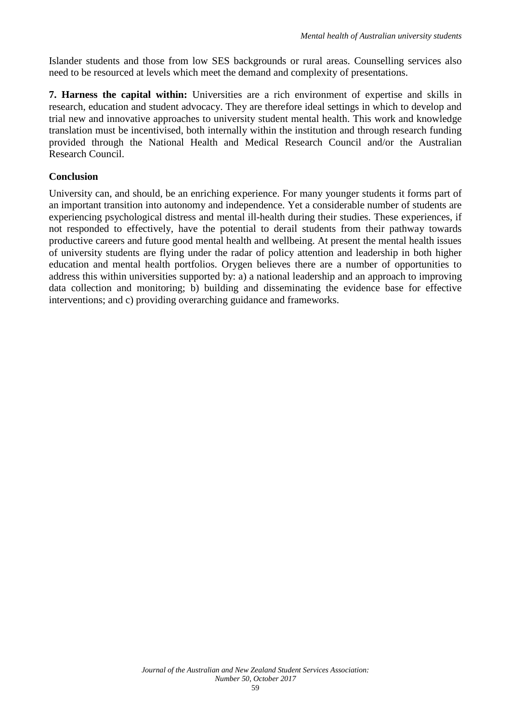Islander students and those from low SES backgrounds or rural areas. Counselling services also need to be resourced at levels which meet the demand and complexity of presentations.

**7. Harness the capital within:** Universities are a rich environment of expertise and skills in research, education and student advocacy. They are therefore ideal settings in which to develop and trial new and innovative approaches to university student mental health. This work and knowledge translation must be incentivised, both internally within the institution and through research funding provided through the National Health and Medical Research Council and/or the Australian Research Council.

## **Conclusion**

University can, and should, be an enriching experience. For many younger students it forms part of an important transition into autonomy and independence. Yet a considerable number of students are experiencing psychological distress and mental ill-health during their studies. These experiences, if not responded to effectively, have the potential to derail students from their pathway towards productive careers and future good mental health and wellbeing. At present the mental health issues of university students are flying under the radar of policy attention and leadership in both higher education and mental health portfolios. Orygen believes there are a number of opportunities to address this within universities supported by: a) a national leadership and an approach to improving data collection and monitoring; b) building and disseminating the evidence base for effective interventions; and c) providing overarching guidance and frameworks.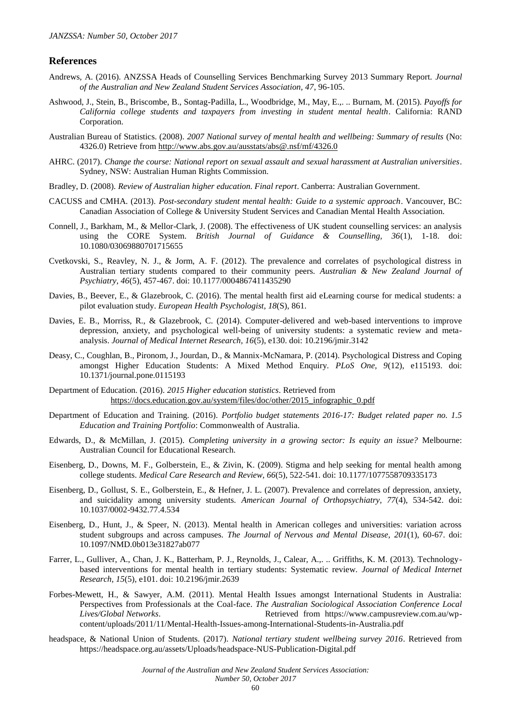#### **References**

- Andrews, A. (2016). ANZSSA Heads of Counselling Services Benchmarking Survey 2013 Summary Report. *Journal of the Australian and New Zealand Student Services Association, 47*, 96-105.
- Ashwood, J., Stein, B., Briscombe, B., Sontag-Padilla, L., Woodbridge, M., May, E.,. .. Burnam, M. (2015). *Payoffs for California college students and taxpayers from investing in student mental health*. California: RAND Corporation.
- Australian Bureau of Statistics. (2008). *2007 National survey of mental health and wellbeing: Summary of results* (No: 4326.0) Retrieve fro[m http://www.abs.gov.au/ausstats/abs@.nsf/mf/4326.0](http://www.abs.gov.au/ausstats/abs@.nsf/mf/4326.0)
- AHRC. (2017). *Change the course: National report on sexual assault and sexual harassment at Australian universities*. Sydney, NSW: Australian Human Rights Commission.
- Bradley, D. (2008). *Review of Australian higher education. Final report*. Canberra: Australian Government.
- CACUSS and CMHA. (2013). *Post-secondary student mental health: Guide to a systemic approach*. Vancouver, BC: Canadian Association of College & University Student Services and Canadian Mental Health Association.
- Connell, J., Barkham, M., & Mellor-Clark, J. (2008). The effectiveness of UK student counselling services: an analysis using the CORE System. *British Journal of Guidance & Counselling, 36*(1), 1-18. doi: 10.1080/03069880701715655
- Cvetkovski, S., Reavley, N. J., & Jorm, A. F. (2012). The prevalence and correlates of psychological distress in Australian tertiary students compared to their community peers. *Australian & New Zealand Journal of Psychiatry, 46*(5), 457-467. doi: 10.1177/0004867411435290
- Davies, B., Beever, E., & Glazebrook, C. (2016). The mental health first aid eLearning course for medical students: a pilot evaluation study. *European Health Psychologist, 18*(S), 861.
- Davies, E. B., Morriss, R., & Glazebrook, C. (2014). Computer-delivered and web-based interventions to improve depression, anxiety, and psychological well-being of university students: a systematic review and metaanalysis. *Journal of Medical Internet Research, 16*(5), e130. doi: 10.2196/jmir.3142
- Deasy, C., Coughlan, B., Pironom, J., Jourdan, D., & Mannix-McNamara, P. (2014). Psychological Distress and Coping amongst Higher Education Students: A Mixed Method Enquiry. *PLoS One, 9*(12), e115193. doi: 10.1371/journal.pone.0115193
- Department of Education. (2016). *2015 Higher education statistics*. Retrieved from [https://docs.education.gov.au/system/files/doc/other/2015\\_infographic\\_0.pdf](https://docs.education.gov.au/system/files/doc/other/2015_infographic_0.pdf)
- Department of Education and Training. (2016). *Portfolio budget statements 2016-17: Budget related paper no. 1.5 Education and Training Portfolio*: Commonwealth of Australia.
- Edwards, D., & McMillan, J. (2015). *Completing university in a growing sector: Is equity an issue?* Melbourne: Australian Council for Educational Research.
- Eisenberg, D., Downs, M. F., Golberstein, E., & Zivin, K. (2009). Stigma and help seeking for mental health among college students. *Medical Care Research and Review, 66*(5), 522-541. doi: 10.1177/1077558709335173
- Eisenberg, D., Gollust, S. E., Golberstein, E., & Hefner, J. L. (2007). Prevalence and correlates of depression, anxiety, and suicidality among university students. *American Journal of Orthopsychiatry, 77*(4), 534-542. doi: 10.1037/0002-9432.77.4.534
- Eisenberg, D., Hunt, J., & Speer, N. (2013). Mental health in American colleges and universities: variation across student subgroups and across campuses. *The Journal of Nervous and Mental Disease, 201*(1), 60-67. doi: 10.1097/NMD.0b013e31827ab077
- Farrer, L., Gulliver, A., Chan, J. K., Batterham, P. J., Reynolds, J., Calear, A.,. .. Griffiths, K. M. (2013). Technologybased interventions for mental health in tertiary students: Systematic review. *Journal of Medical Internet Research, 15*(5), e101. doi: 10.2196/jmir.2639
- Forbes-Mewett, H., & Sawyer, A.M. (2011). Mental Health Issues amongst International Students in Australia: Perspectives from Professionals at the Coal-face. *The Australian Sociological Association Conference Local Lives/Global Networks*. Retrieved from https://www.campusreview.com.au/wpcontent/uploads/2011/11/Mental-Health-Issues-among-International-Students-in-Australia.pdf
- headspace, & National Union of Students. (2017). *National tertiary student wellbeing survey 2016*. Retrieved from https://headspace.org.au/assets/Uploads/headspace-NUS-Publication-Digital.pdf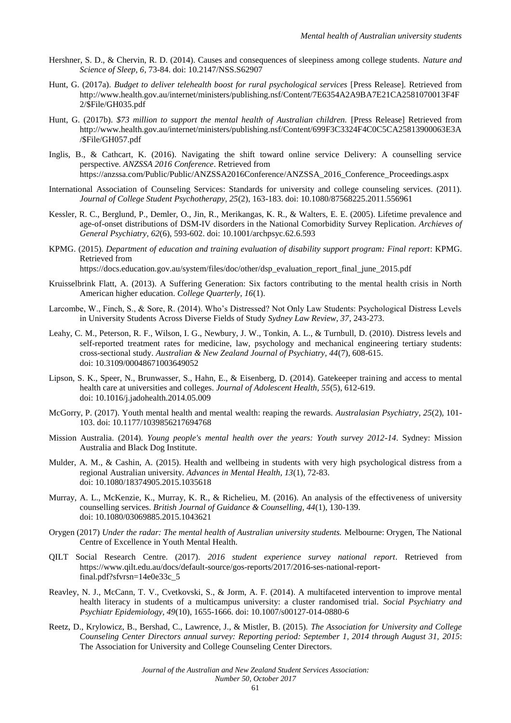- Hershner, S. D., & Chervin, R. D. (2014). Causes and consequences of sleepiness among college students. *Nature and Science of Sleep, 6*, 73-84. doi: 10.2147/NSS.S62907
- Hunt, G. (2017a). *Budget to deliver telehealth boost for rural psychological services* [Press Release]*.* Retrieved from http://www.health.gov.au/internet/ministers/publishing.nsf/Content/7E6354A2A9BA7E21CA2581070013F4F 2/\$File/GH035.pdf
- Hunt, G. (2017b). *\$73 million to support the mental health of Australian children.* [Press Release] Retrieved from http://www.health.gov.au/internet/ministers/publishing.nsf/Content/699F3C3324F4C0C5CA25813900063E3A /\$File/GH057.pdf
- Inglis, B., & Cathcart, K. (2016). Navigating the shift toward online service Delivery: A counselling service perspective*. ANZSSA 2016 Conference*. Retrieved from https://anzssa.com/Public/Public/ANZSSA2016Conference/ANZSSA\_2016\_Conference\_Proceedings.aspx
- International Association of Counseling Services: Standards for university and college counseling services. (2011). *Journal of College Student Psychotherapy, 25*(2), 163-183. doi: 10.1080/87568225.2011.556961
- Kessler, R. C., Berglund, P., Demler, O., Jin, R., Merikangas, K. R., & Walters, E. E. (2005). Lifetime prevalence and age-of-onset distributions of DSM-IV disorders in the National Comorbidity Survey Replication. *Archieves of General Psychiatry, 62*(6), 593-602. doi: 10.1001/archpsyc.62.6.593
- KPMG. (2015). *Department of education and training evaluation of disability support program: Final report*: KPMG. Retrieved from

https://docs.education.gov.au/system/files/doc/other/dsp\_evaluation\_report\_final\_june\_2015.pdf

- Kruisselbrink Flatt, A. (2013). A Suffering Generation: Six factors contributing to the mental health crisis in North American higher education. *College Quarterly, 16*(1).
- Larcombe, W., Finch, S., & Sore, R. (2014). Who's Distressed? Not Only Law Students: Psychological Distress Levels in University Students Across Diverse Fields of Study *Sydney Law Review, 37*, 243-273.
- Leahy, C. M., Peterson, R. F., Wilson, I. G., Newbury, J. W., Tonkin, A. L., & Turnbull, D. (2010). Distress levels and self-reported treatment rates for medicine, law, psychology and mechanical engineering tertiary students: cross-sectional study. *Australian & New Zealand Journal of Psychiatry, 44*(7), 608-615. doi: 10.3109/00048671003649052
- Lipson, S. K., Speer, N., Brunwasser, S., Hahn, E., & Eisenberg, D. (2014). Gatekeeper training and access to mental health care at universities and colleges. *Journal of Adolescent Health, 55*(5), 612-619. doi: 10.1016/j.jadohealth.2014.05.009
- McGorry, P. (2017). Youth mental health and mental wealth: reaping the rewards. *Australasian Psychiatry, 25*(2), 101- 103. doi: 10.1177/1039856217694768
- Mission Australia. (2014). *Young people's mental health over the years: Youth survey 2012-14*. Sydney: Mission Australia and Black Dog Institute.
- Mulder, A. M., & Cashin, A. (2015). Health and wellbeing in students with very high psychological distress from a regional Australian university. *Advances in Mental Health, 13*(1), 72-83. doi: 10.1080/18374905.2015.1035618
- Murray, A. L., McKenzie, K., Murray, K. R., & Richelieu, M. (2016). An analysis of the effectiveness of university counselling services. *British Journal of Guidance & Counselling, 44*(1), 130-139. doi: 10.1080/03069885.2015.1043621
- Orygen (2017) *Under the radar: The mental health of Australian university students.* Melbourne: Orygen, The National Centre of Excellence in Youth Mental Health.
- QILT Social Research Centre. (2017). *2016 student experience survey national report*. Retrieved from https://www.qilt.edu.au/docs/default-source/gos-reports/2017/2016-ses-national-reportfinal.pdf?sfvrsn=14e0e33c\_5
- Reavley, N. J., McCann, T. V., Cvetkovski, S., & Jorm, A. F. (2014). A multifaceted intervention to improve mental health literacy in students of a multicampus university: a cluster randomised trial. *Social Psychiatry and Psychiatr Epidemiology, 49*(10), 1655-1666. doi: 10.1007/s00127-014-0880-6
- Reetz, D., Krylowicz, B., Bershad, C., Lawrence, J., & Mistler, B. (2015). *The Association for University and College Counseling Center Directors annual survey: Reporting period: September 1, 2014 through August 31, 2015*: The Association for University and College Counseling Center Directors.